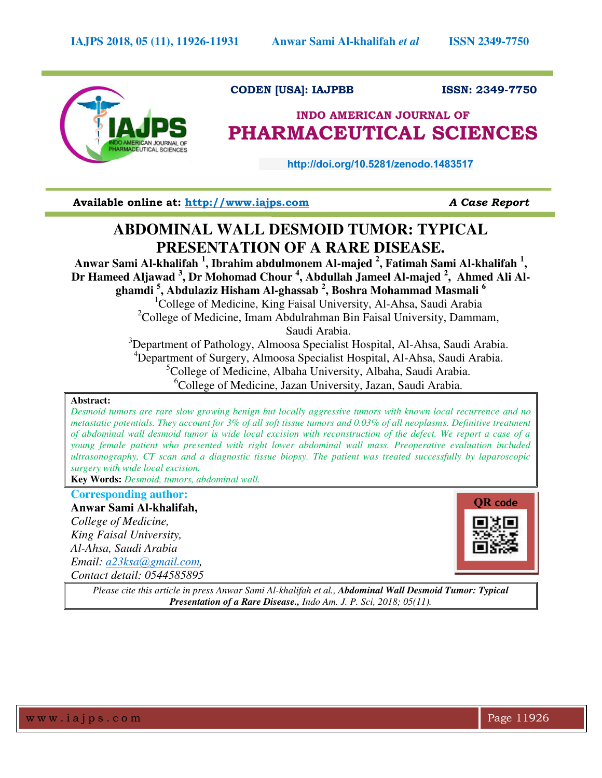

# **CODEN [USA]: IAJPBB ISSN: 2349-7750**

# **INDO AMERICAN JOURNAL OF PHARMACEUTICAL SCIENCES**

 **http://doi.org/10.5281/zenodo.1483517** 

**Available online at: [http://www.iajps.com](http://www.iajps.com/)** *A Case Report*

# **ABDOMINAL WALL DESMOID TUMOR: TYPICAL PRESENTATION OF A RARE DISEASE.**

**Anwar Sami Al-khalifah <sup>1</sup> , Ibrahim abdulmonem Al-majed <sup>2</sup> , Fatimah Sami Al-khalifah <sup>1</sup> , Dr Hameed Aljawad <sup>3</sup> , Dr Mohomad Chour <sup>4</sup> , Abdullah Jameel Al-majed <sup>2</sup> , Ahmed Ali Alghamdi <sup>5</sup> , Abdulaziz Hisham Al-ghassab <sup>2</sup> , Boshra Mohammad Masmali <sup>6</sup>** <sup>1</sup>College of Medicine, King Faisal University, Al-Ahsa, Saudi Arabia <sup>2</sup>College of Medicine, Imam Abdulrahman Bin Faisal University, Dammam,

Saudi Arabia.

<sup>3</sup>Department of Pathology, Almoosa Specialist Hospital, Al-Ahsa, Saudi Arabia. <sup>4</sup>Department of Surgery, Almoosa Specialist Hospital, Al-Ahsa, Saudi Arabia. <sup>5</sup>College of Medicine, Albaha University, Albaha, Saudi Arabia.  ${}^{6}$ College of Medicine, Jazan University, Jazan, Saudi Arabia.

## **Abstract:**

*Desmoid tumors are rare slow growing benign but locally aggressive tumors with known local recurrence and no metastatic potentials. They account for 3% of all soft tissue tumors and 0.03% of all neoplasms. Definitive treatment of abdominal wall desmoid tumor is wide local excision with reconstruction of the defect. We report a case of a young female patient who presented with right lower abdominal wall mass. Preoperative evaluation included ultrasonography, CT scan and a diagnostic tissue biopsy. The patient was treated successfully by laparoscopic surgery with wide local excision.* 

**Key Words:** *Desmoid, tumors, abdominal wall.* 

# **Corresponding author:**

**Anwar Sami Al-khalifah,**  *College of Medicine, King Faisal University, Al-Ahsa, Saudi Arabia Email: a23ksa*@*[gmail.com,](mailto:a23ksa@gmail.com) Contact detail: 0544585895* 



*Please cite this article in press Anwar Sami Al-khalifah et al., Abdominal Wall Desmoid Tumor: Typical Presentation of a Rare Disease., Indo Am. J. P. Sci, 2018; 05(11).*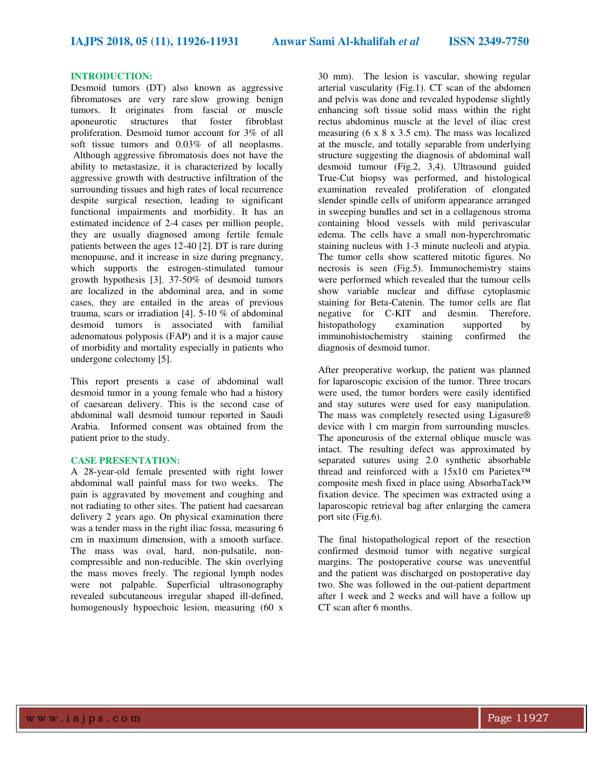### **INTRODUCTION:**

Desmoid tumors (DT) also known as aggressive fibromatoses are very rare slow growing benign tumors. It originates from fascial or muscle aponeurotic structures that foster fibroblast proliferation. Desmoid tumor account for 3% of all soft tissue tumors and 0.03% of all neoplasms. Although aggressive fibromatosis does not have the ability to metastasize, it is characterized by locally aggressive growth with destructive infiltration of the surrounding tissues and high rates of local recurrence despite surgical resection, leading to significant functional impairments and morbidity. It has an estimated incidence of 2-4 cases per million people, they are usually diagnosed among fertile female patients between the ages 12-40 [2]. DT is rare during menopause, and it increase in size during pregnancy, which supports the estrogen-stimulated tumour growth hypothesis [3]. 37-50% of desmoid tumors are localized in the abdominal area, and in some cases, they are entailed in the areas of previous trauma, scars or irradiation [4]. 5-10 % of abdominal desmoid tumors is associated with familial adenomatous polyposis (FAP) and it is a major cause of morbidity and mortality especially in patients who undergone colectomy [5].

This report presents a case of abdominal wall desmoid tumor in a young female who had a history of caesarean delivery. This is the second case of abdominal wall desmoid tumour reported in Saudi Arabia. Informed consent was obtained from the patient prior to the study.

#### **CASE PRESENTATION:**

A 28-year-old female presented with right lower abdominal wall painful mass for two weeks. The pain is aggravated by movement and coughing and not radiating to other sites. The patient had caesarean delivery 2 years ago. On physical examination there was a tender mass in the right iliac fossa, measuring 6 cm in maximum dimension, with a smooth surface. The mass was oval, hard, non-pulsatile, noncompressible and non-reducible. The skin overlying the mass moves freely. The regional lymph nodes were not palpable. Superficial ultrasonography revealed subcutaneous irregular shaped ill-defined, homogenously hypoechoic lesion, measuring (60 x

30 mm). The lesion is vascular, showing regular arterial vascularity (Fig.1). CT scan of the abdomen and pelvis was done and revealed hypodense slightly enhancing soft tissue solid mass within the right rectus abdominus muscle at the level of iliac crest measuring (6 x 8 x 3.5 cm). The mass was localized at the muscle, and totally separable from underlying structure suggesting the diagnosis of abdominal wall desmoid tumour (Fig.2, 3,4). Ultrasound guided True-Cut biopsy was performed, and histological examination revealed proliferation of elongated slender spindle cells of uniform appearance arranged in sweeping bundles and set in a collagenous stroma containing blood vessels with mild perivascular edema. The cells have a small non-hyperchromatic staining nucleus with 1-3 minute nucleoli and atypia. The tumor cells show scattered mitotic figures. No necrosis is seen (Fig.5). Immunochemistry stains were performed which revealed that the tumour cells show variable nuclear and diffuse cytoplasmic staining for Beta-Catenin. The tumor cells are flat negative for C-KIT and desmin. Therefore,<br>histopathology examination supported by histopathology examination supported by immunohistochemistry staining confirmed the diagnosis of desmoid tumor.

After preoperative workup, the patient was planned for laparoscopic excision of the tumor. Three trocars were used, the tumor borders were easily identified and stay sutures were used for easy manipulation. The mass was completely resected using Ligasure® device with 1 cm margin from surrounding muscles. The aponeurosis of the external oblique muscle was intact. The resulting defect was approximated by separated sutures using 2.0 synthetic absorbable thread and reinforced with a 15x10 cm Parietex™ composite mesh fixed in place using AbsorbaTack™ fixation device. The specimen was extracted using a laparoscopic retrieval bag after enlarging the camera port site (Fig.6).

The final histopathological report of the resection confirmed desmoid tumor with negative surgical margins. The postoperative course was uneventful and the patient was discharged on postoperative day two. She was followed in the out-patient department after 1 week and 2 weeks and will have a follow up CT scan after 6 months.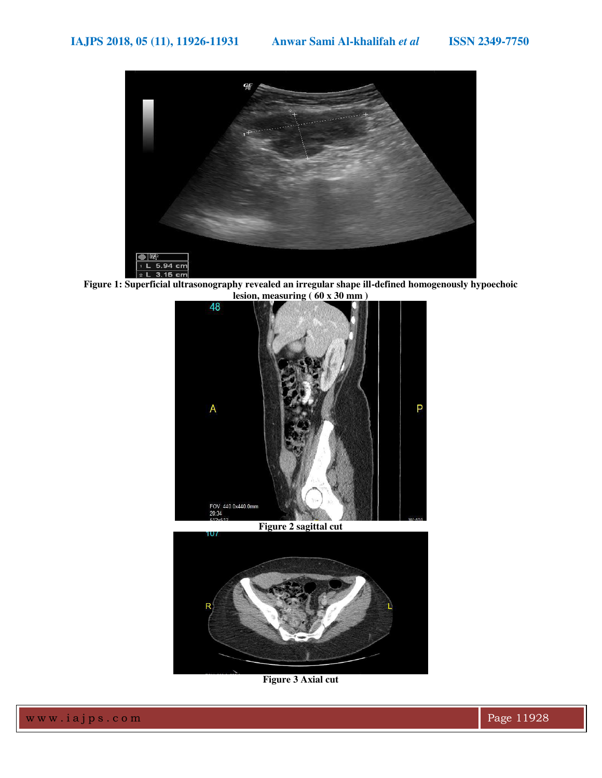

**Figure 1: Superficial ultrasonography revealed an irregular shape ill-defined homogenously hypoechoic lesion, measuring ( 60 x 30 mm )** 





**Figure 3 Axial cut**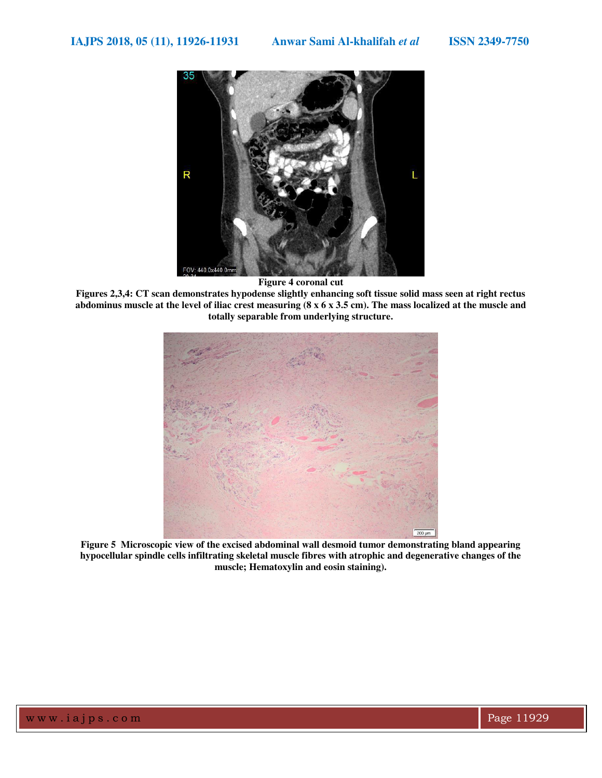

**Figure 4 coronal cut** 

**Figures 2,3,4: CT scan demonstrates hypodense slightly enhancing soft tissue solid mass seen at right rectus abdominus muscle at the level of iliac crest measuring (8 x 6 x 3.5 cm). The mass localized at the muscle and totally separable from underlying structure.** 



**Figure 5 Microscopic view of the excised abdominal wall desmoid tumor demonstrating bland appearing hypocellular spindle cells infiltrating skeletal muscle fibres with atrophic and degenerative changes of the muscle; Hematoxylin and eosin staining).**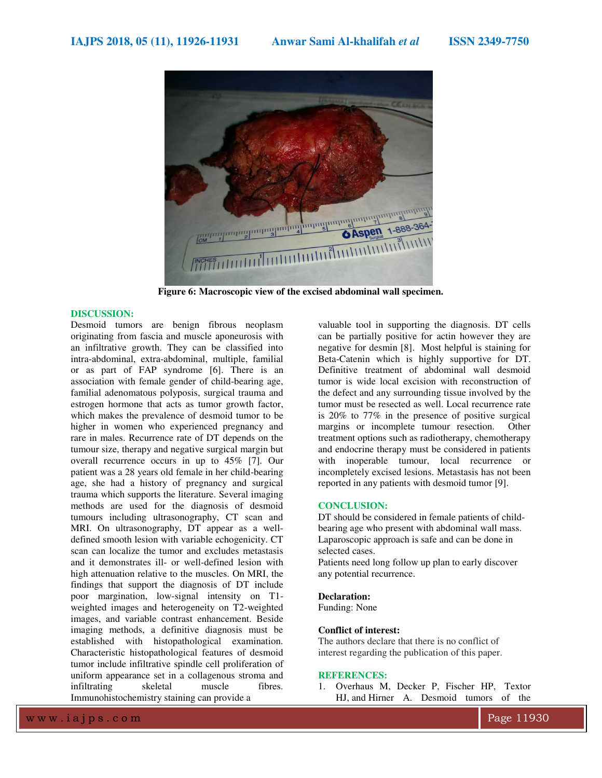

**Figure 6: Macroscopic view of the excised abdominal wall specimen.** 

### **DISCUSSION:**

Desmoid tumors are benign fibrous neoplasm originating from fascia and muscle aponeurosis with an infiltrative growth. They can be classified into intra-abdominal, extra-abdominal, multiple, familial or as part of FAP syndrome [6]. There is an association with female gender of child-bearing age, familial adenomatous polyposis, surgical trauma and estrogen hormone that acts as tumor growth factor, which makes the prevalence of desmoid tumor to be higher in women who experienced pregnancy and rare in males. Recurrence rate of DT depends on the tumour size, therapy and negative surgical margin but overall recurrence occurs in up to 45% [7]. Our patient was a 28 years old female in her child-bearing age, she had a history of pregnancy and surgical trauma which supports the literature. Several imaging methods are used for the diagnosis of desmoid tumours including ultrasonography, CT scan and MRI. On ultrasonography, DT appear as a welldefined smooth lesion with variable echogenicity. CT scan can localize the tumor and excludes metastasis and it demonstrates ill- or well-defined lesion with high attenuation relative to the muscles. On MRI, the findings that support the diagnosis of DT include poor margination, low-signal intensity on T1 weighted images and heterogeneity on T2-weighted images, and variable contrast enhancement. Beside imaging methods, a definitive diagnosis must be established with histopathological examination. Characteristic histopathological features of desmoid tumor include infiltrative spindle cell proliferation of uniform appearance set in a collagenous stroma and<br>infiltrating skeletal muscle fibres. infiltrating Immunohistochemistry staining can provide a

valuable tool in supporting the diagnosis. DT cells can be partially positive for actin however they are negative for desmin [8]. Most helpful is staining for Beta-Catenin which is highly supportive for DT. Definitive treatment of abdominal wall desmoid tumor is wide local excision with reconstruction of the defect and any surrounding tissue involved by the tumor must be resected as well. Local recurrence rate is  $20\%$  to  $77\%$  in the presence of positive surgical margins or incomplete tumour resection. Other margins or incomplete tumour resection. treatment options such as radiotherapy, chemotherapy and endocrine therapy must be considered in patients with inoperable tumour, local recurrence or incompletely excised lesions. Metastasis has not been reported in any patients with desmoid tumor [9].

#### **CONCLUSION:**

DT should be considered in female patients of childbearing age who present with abdominal wall mass. Laparoscopic approach is safe and can be done in selected cases.

Patients need long follow up plan to early discover any potential recurrence.

#### **Declaration:**

Funding: None

#### **Conflict of interest:**

The authors declare that there is no conflict of interest regarding the publication of this paper.

#### **REFERENCES:**

1. [Overhaus](https://www.ncbi.nlm.nih.gov/pubmed/?term=Overhaus%20M%5BAuthor%5D&cauthor=true&cauthor_uid=12890284) M, [Decker](https://www.ncbi.nlm.nih.gov/pubmed/?term=Decker%20P%5BAuthor%5D&cauthor=true&cauthor_uid=12890284) P[, Fischer](https://www.ncbi.nlm.nih.gov/pubmed/?term=Fischer%20HP%5BAuthor%5D&cauthor=true&cauthor_uid=12890284) HP, [Textor](https://www.ncbi.nlm.nih.gov/pubmed/?term=Textor%20HJ%5BAuthor%5D&cauthor=true&cauthor_uid=12890284)  HJ, an[d Hirner](https://www.ncbi.nlm.nih.gov/pubmed/?term=Hirner%20A%5BAuthor%5D&cauthor=true&cauthor_uid=12890284) A. Desmoid tumors of the